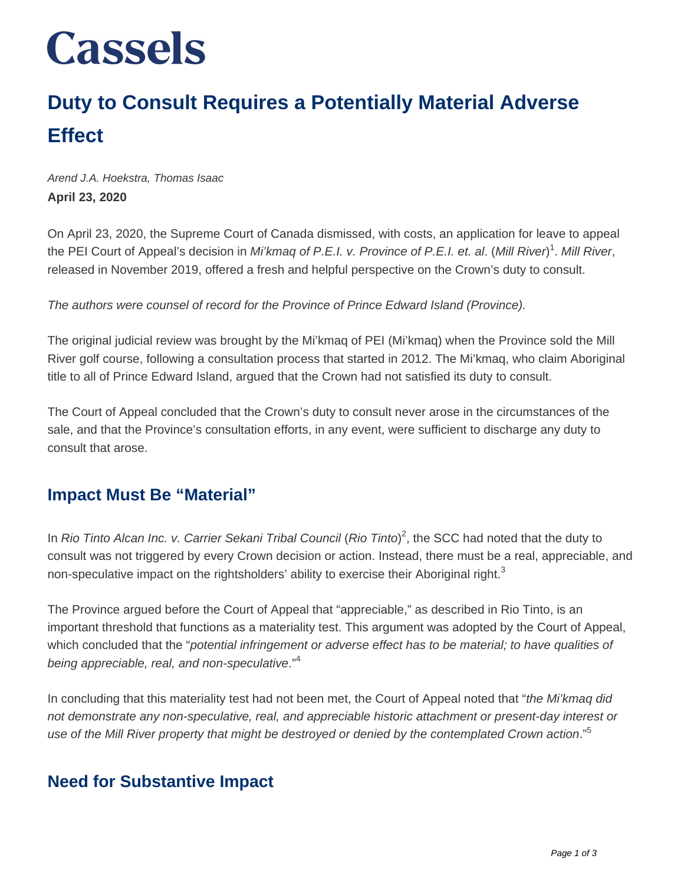# **Cassels**

# **Duty to Consult Requires a Potentially Material Adverse Effect**

Arend J.A. Hoekstra, Thomas Isaac **April 23, 2020**

On April 23, 2020, the Supreme Court of Canada dismissed, with costs, an application for leave to appeal the PEI Court of Appeal's decision in Mi'kmaq of P.E.I. v. Province of P.E.I. et. al. (Mill River)<sup>1</sup>. Mill River, released in November 2019, offered a fresh and helpful perspective on the Crown's duty to consult.

The authors were counsel of record for the Province of Prince Edward Island (Province).

The original judicial review was brought by the Mi'kmaq of PEI (Mi'kmaq) when the Province sold the Mill River golf course, following a consultation process that started in 2012. The Mi'kmaq, who claim Aboriginal title to all of Prince Edward Island, argued that the Crown had not satisfied its duty to consult.

The Court of Appeal concluded that the Crown's duty to consult never arose in the circumstances of the sale, and that the Province's consultation efforts, in any event, were sufficient to discharge any duty to consult that arose.

### **Impact Must Be "Material"**

In Rio Tinto Alcan Inc. v. Carrier Sekani Tribal Council (Rio Tinto)<sup>2</sup>, the SCC had noted that the duty to consult was not triggered by every Crown decision or action. Instead, there must be a real, appreciable, and non-speculative impact on the rightsholders' ability to exercise their Aboriginal right.<sup>3</sup>

The Province argued before the Court of Appeal that "appreciable," as described in Rio Tinto, is an important threshold that functions as a materiality test. This argument was adopted by the Court of Appeal, which concluded that the "potential infringement or adverse effect has to be material; to have qualities of being appreciable, real, and non-speculative."<sup>4</sup>

In concluding that this materiality test had not been met, the Court of Appeal noted that "the Mi'kmag did not demonstrate any non-speculative, real, and appreciable historic attachment or present-day interest or use of the Mill River property that might be destroyed or denied by the contemplated Crown action."<sup>5</sup>

#### **Need for Substantive Impact**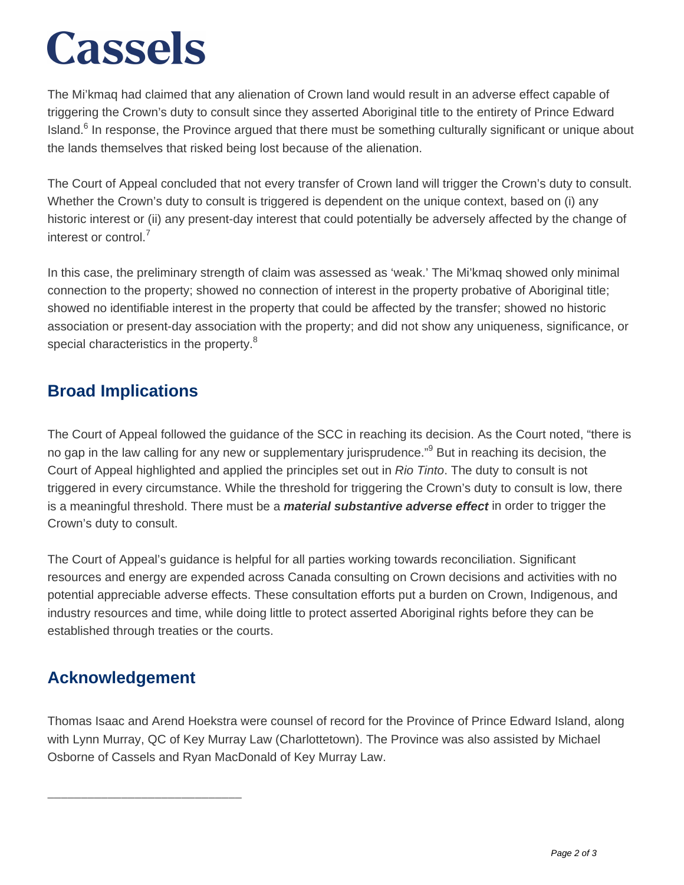# **Cassels**

The Mi'kmaq had claimed that any alienation of Crown land would result in an adverse effect capable of triggering the Crown's duty to consult since they asserted Aboriginal title to the entirety of Prince Edward Island.<sup>6</sup> In response, the Province argued that there must be something culturally significant or unique about the lands themselves that risked being lost because of the alienation.

The Court of Appeal concluded that not every transfer of Crown land will trigger the Crown's duty to consult. Whether the Crown's duty to consult is triggered is dependent on the unique context, based on (i) any historic interest or (ii) any present-day interest that could potentially be adversely affected by the change of interest or control $<sup>7</sup>$ </sup>

In this case, the preliminary strength of claim was assessed as 'weak.' The Mi'kmaq showed only minimal connection to the property; showed no connection of interest in the property probative of Aboriginal title; showed no identifiable interest in the property that could be affected by the transfer; showed no historic association or present-day association with the property; and did not show any uniqueness, significance, or special characteristics in the property.<sup>8</sup>

### **Broad Implications**

The Court of Appeal followed the guidance of the SCC in reaching its decision. As the Court noted, "there is no gap in the law calling for any new or supplementary jurisprudence."<sup>9</sup> But in reaching its decision, the Court of Appeal highlighted and applied the principles set out in Rio Tinto. The duty to consult is not triggered in every circumstance. While the threshold for triggering the Crown's duty to consult is low, there is a meaningful threshold. There must be a **material substantive adverse effect** in order to trigger the Crown's duty to consult.

The Court of Appeal's guidance is helpful for all parties working towards reconciliation. Significant resources and energy are expended across Canada consulting on Crown decisions and activities with no potential appreciable adverse effects. These consultation efforts put a burden on Crown, Indigenous, and industry resources and time, while doing little to protect asserted Aboriginal rights before they can be established through treaties or the courts.

## **Acknowledgement**

\_\_\_\_\_\_\_\_\_\_\_\_\_\_\_\_\_\_\_\_\_\_\_\_\_\_\_\_\_

Thomas Isaac and Arend Hoekstra were counsel of record for the Province of Prince Edward Island, along with Lynn Murray, QC of Key Murray Law (Charlottetown). The Province was also assisted by Michael Osborne of Cassels and Ryan MacDonald of Key Murray Law.